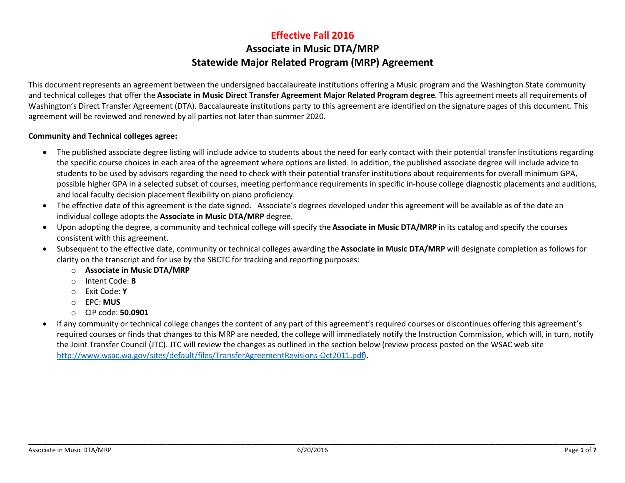# Effective Fall 2016

# Associate in Music DTA/MRP Statewide Major Related Program (MRP) Agreement

This document represents an agreement between the undersigned baccalaureate institutions offering a Music program and the Washington State community and technical colleges that offer the Associate in Music Direct Transfer Agreement Major Related Program degree. This agreement meets all requirements of Washington's Direct Transfer Agreement (DTA). Baccalaureate institutions party to this agreement are identified on the signature pages of this document. This agreement will be reviewed and renewed by all parties not later than summer 2020.

### Community and Technical colleges agree:

- The published associate degree listing will include advice to students about the need for early contact with their potential transfer institutions regarding the specific course choices in each area of the agreement where options are listed. In addition, the published associate degree will include advice to students to be used by advisors regarding the need to check with their potential transfer institutions about requirements for overall minimum GPA, possible higher GPA in a selected subset of courses, meeting performance requirements in specific in-house college diagnostic placements and auditions, and local faculty decision placement flexibility on piano proficiency.
- The effective date of this agreement is the date signed. Associate's degrees developed under this agreement will be available as of the date an individual college adopts the Associate in Music DTA/MRP degree.
- Upon adopting the degree, a community and technical college will specify the Associate in Music DTA/MRP in its catalog and specify the courses consistent with this agreement.
- Subsequent to the effective date, community or technical colleges awarding the Associate in Music DTA/MRP will designate completion as follows for clarity on the transcript and for use by the SBCTC for tracking and reporting purposes:
	- o Associate in Music DTA/MRP
	- o Intent Code: B
	- o Exit Code: Y
	- o EPC: MUS
	- o CIP code: 50.0901
- If any community or technical college changes the content of any part of this agreement's required courses or discontinues offering this agreement's required courses or finds that changes to this MRP are needed, the college will immediately notify the Instruction Commission, which will, in turn, notify the Joint Transfer Council (JTC). JTC will review the changes as outlined in the section below (review process posted on the WSAC web site http://www.wsac.wa.gov/sites/default/files/TransferAgreementRevisions-Oct2011.pdf).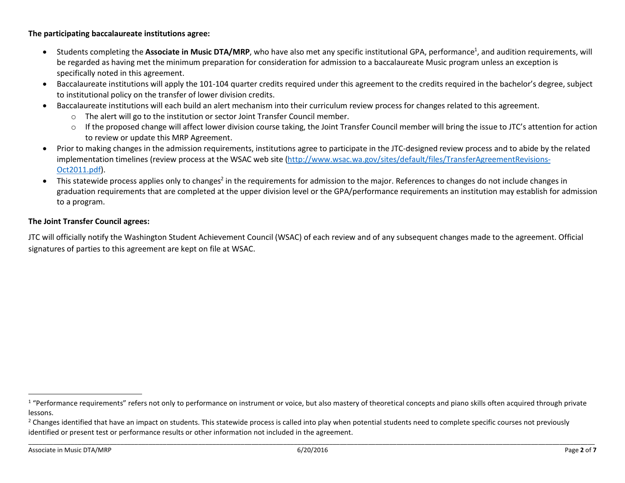## The participating baccalaureate institutions agree:

- Students completing the Associate in Music DTA/MRP, who have also met any specific institutional GPA, performance<sup>1</sup>, and audition requirements, will be regarded as having met the minimum preparation for consideration for admission to a baccalaureate Music program unless an exception is specifically noted in this agreement.
- Baccalaureate institutions will apply the 101-104 quarter credits required under this agreement to the credits required in the bachelor's degree, subject to institutional policy on the transfer of lower division credits.
- Baccalaureate institutions will each build an alert mechanism into their curriculum review process for changes related to this agreement.
	- o The alert will go to the institution or sector Joint Transfer Council member.
	- $\circ$  If the proposed change will affect lower division course taking, the Joint Transfer Council member will bring the issue to JTC's attention for action to review or update this MRP Agreement.
- Prior to making changes in the admission requirements, institutions agree to participate in the JTC-designed review process and to abide by the related implementation timelines (review process at the WSAC web site (http://www.wsac.wa.gov/sites/default/files/TransferAgreementRevisions-Oct2011.pdf).
- This statewide process applies only to changes<sup>2</sup> in the requirements for admission to the major. References to changes do not include changes in graduation requirements that are completed at the upper division level or the GPA/performance requirements an institution may establish for admission to a program.

## The Joint Transfer Council agrees:

JTC will officially notify the Washington Student Achievement Council (WSAC) of each review and of any subsequent changes made to the agreement. Official signatures of parties to this agreement are kept on file at WSAC.

 $\overline{a}$ 

 $1$  "Performance requirements" refers not only to performance on instrument or voice, but also mastery of theoretical concepts and piano skills often acquired through private lessons.

 $^2$  Changes identified that have an impact on students. This statewide process is called into play when potential students need to complete specific courses not previously identified or present test or performance results or other information not included in the agreement.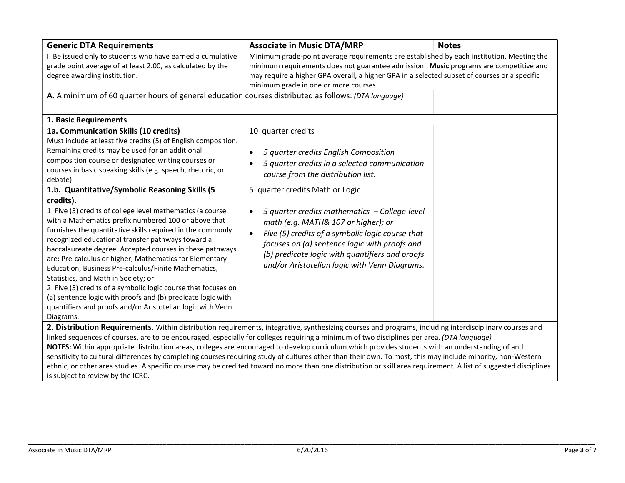| <b>Generic DTA Requirements</b>                                                                                                                                                                                                                                                                                                                                                                                                                                                                                                                                                                                                                                                      | <b>Associate in Music DTA/MRP</b>                                                                                                                                                                                                                                                                                           | <b>Notes</b> |
|--------------------------------------------------------------------------------------------------------------------------------------------------------------------------------------------------------------------------------------------------------------------------------------------------------------------------------------------------------------------------------------------------------------------------------------------------------------------------------------------------------------------------------------------------------------------------------------------------------------------------------------------------------------------------------------|-----------------------------------------------------------------------------------------------------------------------------------------------------------------------------------------------------------------------------------------------------------------------------------------------------------------------------|--------------|
| I. Be issued only to students who have earned a cumulative<br>grade point average of at least 2.00, as calculated by the<br>degree awarding institution.                                                                                                                                                                                                                                                                                                                                                                                                                                                                                                                             | Minimum grade-point average requirements are established by each institution. Meeting the<br>minimum requirements does not guarantee admission. Music programs are competitive and<br>may require a higher GPA overall, a higher GPA in a selected subset of courses or a specific<br>minimum grade in one or more courses. |              |
| A. A minimum of 60 quarter hours of general education courses distributed as follows: (DTA language)                                                                                                                                                                                                                                                                                                                                                                                                                                                                                                                                                                                 |                                                                                                                                                                                                                                                                                                                             |              |
| 1. Basic Requirements                                                                                                                                                                                                                                                                                                                                                                                                                                                                                                                                                                                                                                                                |                                                                                                                                                                                                                                                                                                                             |              |
| 1a. Communication Skills (10 credits)<br>Must include at least five credits (5) of English composition.<br>Remaining credits may be used for an additional<br>composition course or designated writing courses or<br>courses in basic speaking skills (e.g. speech, rhetoric, or<br>debate).                                                                                                                                                                                                                                                                                                                                                                                         | 10 quarter credits<br>5 quarter credits English Composition<br>$\bullet$<br>5 quarter credits in a selected communication<br>$\bullet$<br>course from the distribution list.                                                                                                                                                |              |
| 1.b. Quantitative/Symbolic Reasoning Skills (5                                                                                                                                                                                                                                                                                                                                                                                                                                                                                                                                                                                                                                       | 5 quarter credits Math or Logic                                                                                                                                                                                                                                                                                             |              |
| credits).<br>1. Five (5) credits of college level mathematics (a course<br>with a Mathematics prefix numbered 100 or above that<br>furnishes the quantitative skills required in the commonly<br>recognized educational transfer pathways toward a<br>baccalaureate degree. Accepted courses in these pathways<br>are: Pre-calculus or higher, Mathematics for Elementary<br>Education, Business Pre-calculus/Finite Mathematics,<br>Statistics, and Math in Society; or<br>2. Five (5) credits of a symbolic logic course that focuses on<br>(a) sentence logic with proofs and (b) predicate logic with<br>quantifiers and proofs and/or Aristotelian logic with Venn<br>Diagrams. | 5 quarter credits mathematics - College-level<br>math (e.g. MATH& 107 or higher); or<br>Five (5) credits of a symbolic logic course that<br>$\bullet$<br>focuses on (a) sentence logic with proofs and<br>(b) predicate logic with quantifiers and proofs<br>and/or Aristotelian logic with Venn Diagrams.                  |              |
| 2. Distribution Requirements. Within distribution requirements, integrative, synthesizing courses and programs, including interdisciplinary courses and                                                                                                                                                                                                                                                                                                                                                                                                                                                                                                                              |                                                                                                                                                                                                                                                                                                                             |              |
| linked sequences of courses, are to be encouraged, especially for colleges requiring a minimum of two disciplines per area. (DTA language)<br>NOTES: Within appropriate distribution areas, colleges are encouraged to develop curriculum which provides students with an understanding of and<br>sensitivity to cultural differences by completing courses requiring study of cultures other than their own. To most, this may include minority, non-Western<br>ethnic, or other area studies. A specific course may be credited toward no more than one distribution or skill area requirement. A list of suggested disciplines<br>is subject to review by the ICRC.               |                                                                                                                                                                                                                                                                                                                             |              |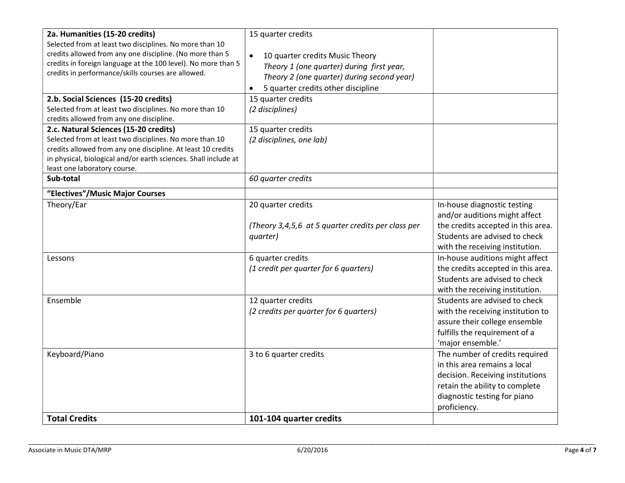| 2a. Humanities (15-20 credits)<br>Selected from at least two disciplines. No more than 10<br>credits allowed from any one discipline. (No more than 5<br>credits in foreign language at the 100 level). No more than 5<br>credits in performance/skills courses are allowed.<br>2.b. Social Sciences (15-20 credits)<br>Selected from at least two disciplines. No more than 10 | 15 quarter credits<br>10 quarter credits Music Theory<br>$\bullet$<br>Theory 1 (one quarter) during first year,<br>Theory 2 (one quarter) during second year)<br>5 quarter credits other discipline<br>15 quarter credits<br>(2 disciplines) |                                                                                                                                                                                      |
|---------------------------------------------------------------------------------------------------------------------------------------------------------------------------------------------------------------------------------------------------------------------------------------------------------------------------------------------------------------------------------|----------------------------------------------------------------------------------------------------------------------------------------------------------------------------------------------------------------------------------------------|--------------------------------------------------------------------------------------------------------------------------------------------------------------------------------------|
| credits allowed from any one discipline.<br>2.c. Natural Sciences (15-20 credits)                                                                                                                                                                                                                                                                                               | 15 quarter credits                                                                                                                                                                                                                           |                                                                                                                                                                                      |
| Selected from at least two disciplines. No more than 10<br>credits allowed from any one discipline. At least 10 credits<br>in physical, biological and/or earth sciences. Shall include at<br>least one laboratory course.                                                                                                                                                      | (2 disciplines, one lab)                                                                                                                                                                                                                     |                                                                                                                                                                                      |
| Sub-total                                                                                                                                                                                                                                                                                                                                                                       | 60 quarter credits                                                                                                                                                                                                                           |                                                                                                                                                                                      |
| "Electives"/Music Major Courses                                                                                                                                                                                                                                                                                                                                                 |                                                                                                                                                                                                                                              |                                                                                                                                                                                      |
| Theory/Ear                                                                                                                                                                                                                                                                                                                                                                      | 20 quarter credits<br>(Theory 3,4,5,6 at 5 quarter credits per class per<br>quarter)                                                                                                                                                         | In-house diagnostic testing<br>and/or auditions might affect<br>the credits accepted in this area.<br>Students are advised to check<br>with the receiving institution.               |
| Lessons                                                                                                                                                                                                                                                                                                                                                                         | 6 quarter credits<br>(1 credit per quarter for 6 quarters)                                                                                                                                                                                   | In-house auditions might affect<br>the credits accepted in this area.<br>Students are advised to check<br>with the receiving institution.                                            |
| Ensemble                                                                                                                                                                                                                                                                                                                                                                        | 12 quarter credits<br>(2 credits per quarter for 6 quarters)                                                                                                                                                                                 | Students are advised to check<br>with the receiving institution to<br>assure their college ensemble<br>fulfills the requirement of a<br>'major ensemble.'                            |
| Keyboard/Piano                                                                                                                                                                                                                                                                                                                                                                  | 3 to 6 quarter credits                                                                                                                                                                                                                       | The number of credits required<br>in this area remains a local<br>decision. Receiving institutions<br>retain the ability to complete<br>diagnostic testing for piano<br>proficiency. |
| <b>Total Credits</b>                                                                                                                                                                                                                                                                                                                                                            | 101-104 quarter credits                                                                                                                                                                                                                      |                                                                                                                                                                                      |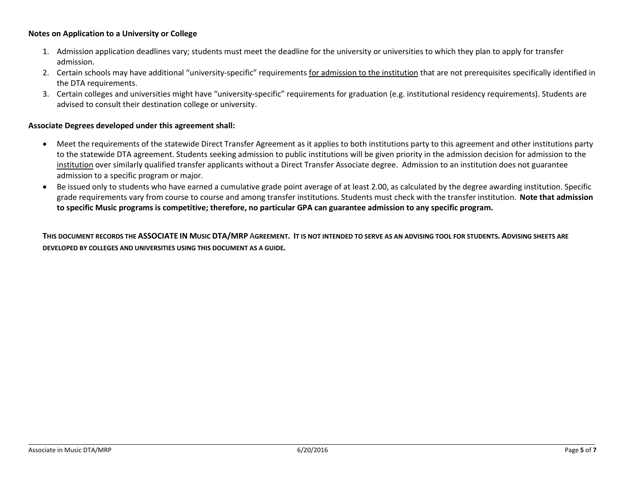### Notes on Application to a University or College

- 1. Admission application deadlines vary; students must meet the deadline for the university or universities to which they plan to apply for transfer admission.
- 2. Certain schools may have additional "university-specific" requirements for admission to the institution that are not prerequisites specifically identified in the DTA requirements.
- 3. Certain colleges and universities might have "university-specific" requirements for graduation (e.g. institutional residency requirements). Students are advised to consult their destination college or university.

### Associate Degrees developed under this agreement shall:

- Meet the requirements of the statewide Direct Transfer Agreement as it applies to both institutions party to this agreement and other institutions party to the statewide DTA agreement. Students seeking admission to public institutions will be given priority in the admission decision for admission to the institution over similarly qualified transfer applicants without a Direct Transfer Associate degree. Admission to an institution does not guarantee admission to a specific program or major.
- Be issued only to students who have earned a cumulative grade point average of at least 2.00, as calculated by the degree awarding institution. Specific grade requirements vary from course to course and among transfer institutions. Students must check with the transfer institution. Note that admission to specific Music programs is competitive; therefore, no particular GPA can guarantee admission to any specific program.

THIS DOCUMENT RECORDS THE ASSOCIATE IN MUSIC DTA/MRP AGREEMENT. IT IS NOT INTENDED TO SERVE AS AN ADVISING TOOL FOR STUDENTS. ADVISING SHEETS ARE DEVELOPED BY COLLEGES AND UNIVERSITIES USING THIS DOCUMENT AS A GUIDE.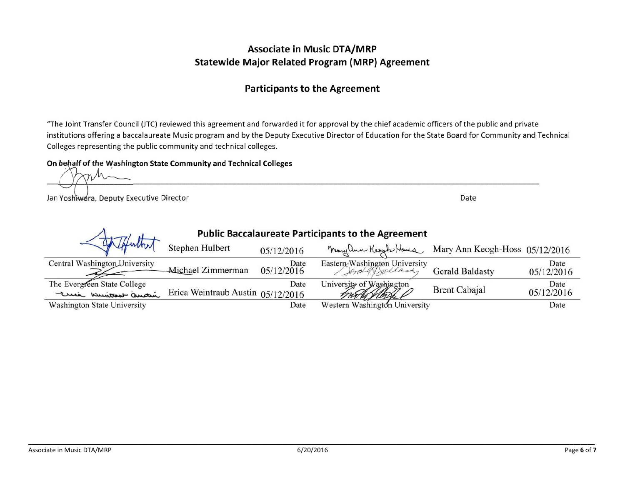# **Associate in Music DTA/MRP Statewide Major Related Program (MRP) Agreement**

# **Participants to the Agreement**

"The Joint Transfer Council (JTC) reviewed this agreement and forwarded it for approval by the chief academic officers of the public and private institutions offering a baccalaureate Music program and by the Deputy Executive Director of Education for the State Board for Community and Technical Colleges representing the public community and technical colleges.

On behalf of the Washington State Community and Technical Colleges

Jan Yoshwara, Deputy Executive Director

Date

|                                                     |                                   |                    | <b>Public Baccalaureate Participants to the Agreement</b> |                                |                    |
|-----------------------------------------------------|-----------------------------------|--------------------|-----------------------------------------------------------|--------------------------------|--------------------|
|                                                     | Stephen Hulbert                   | 05/12/2016         | Mayalun Kesyh Have                                        | Mary Ann Keogh-Hoss 05/12/2016 |                    |
| Central Washington University                       | Michael Zimmerman                 | Date<br>05/12/2016 | Eastern Washington University<br>endof Jallash,           | <b>Gerald Baldasty</b>         | Date<br>05/12/2016 |
| The Evergreen State College<br>tria brittout autric | Erica Weintraub Austin 05/12/2016 | Date               | University of Washington<br>monthel                       | <b>Brent Cabajal</b>           | Date<br>05/12/2016 |
| <b>Washington State University</b>                  |                                   | Date               | Western Washington University                             |                                | Date               |